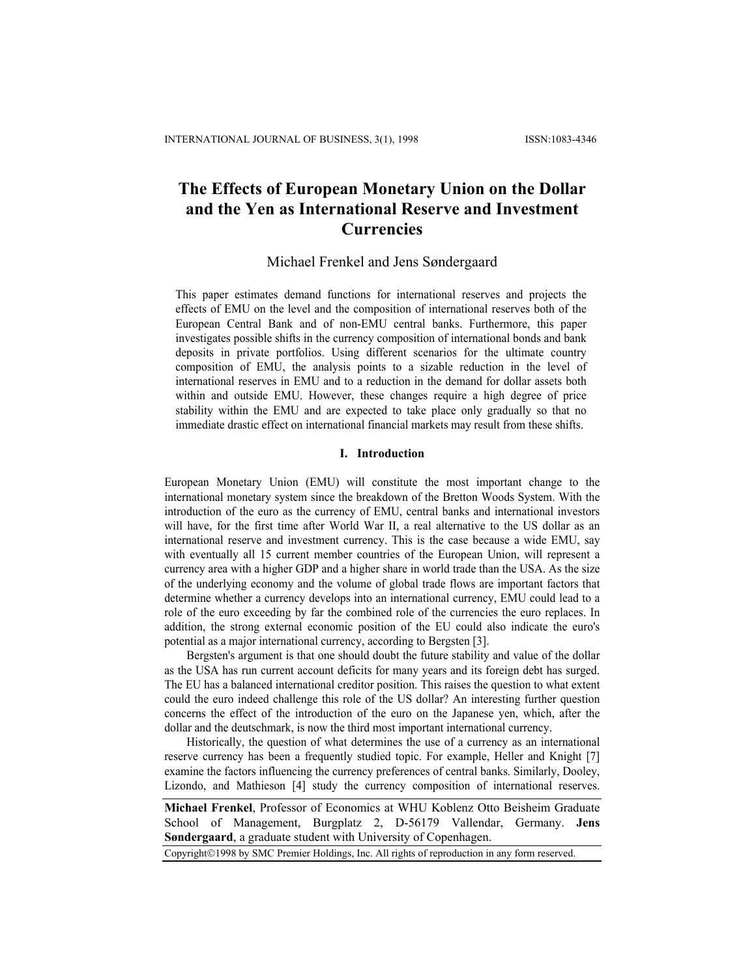# **The Effects of European Monetary Union on the Dollar and the Yen as International Reserve and Investment Currencies**

Michael Frenkel and Jens Søndergaard

This paper estimates demand functions for international reserves and projects the effects of EMU on the level and the composition of international reserves both of the European Central Bank and of non-EMU central banks. Furthermore, this paper investigates possible shifts in the currency composition of international bonds and bank deposits in private portfolios. Using different scenarios for the ultimate country composition of EMU, the analysis points to a sizable reduction in the level of international reserves in EMU and to a reduction in the demand for dollar assets both within and outside EMU. However, these changes require a high degree of price stability within the EMU and are expected to take place only gradually so that no immediate drastic effect on international financial markets may result from these shifts.

## **I. Introduction**

European Monetary Union (EMU) will constitute the most important change to the international monetary system since the breakdown of the Bretton Woods System. With the introduction of the euro as the currency of EMU, central banks and international investors will have, for the first time after World War II, a real alternative to the US dollar as an international reserve and investment currency. This is the case because a wide EMU, say with eventually all 15 current member countries of the European Union, will represent a currency area with a higher GDP and a higher share in world trade than the USA. As the size of the underlying economy and the volume of global trade flows are important factors that determine whether a currency develops into an international currency, EMU could lead to a role of the euro exceeding by far the combined role of the currencies the euro replaces. In addition, the strong external economic position of the EU could also indicate the euro's potential as a major international currency, according to Bergsten [3].

Bergsten's argument is that one should doubt the future stability and value of the dollar as the USA has run current account deficits for many years and its foreign debt has surged. The EU has a balanced international creditor position. This raises the question to what extent could the euro indeed challenge this role of the US dollar? An interesting further question concerns the effect of the introduction of the euro on the Japanese yen, which, after the dollar and the deutschmark, is now the third most important international currency.

Historically, the question of what determines the use of a currency as an international reserve currency has been a frequently studied topic. For example, Heller and Knight [7] examine the factors influencing the currency preferences of central banks. Similarly, Dooley, Lizondo, and Mathieson [4] study the currency composition of international reserves.

**Michael Frenkel**, Professor of Economics at WHU Koblenz Otto Beisheim Graduate School of Management, Burgplatz 2, D-56179 Vallendar, Germany. **Jens Søndergaard**, a graduate student with University of Copenhagen.

Copyright©1998 by SMC Premier Holdings, Inc. All rights of reproduction in any form reserved.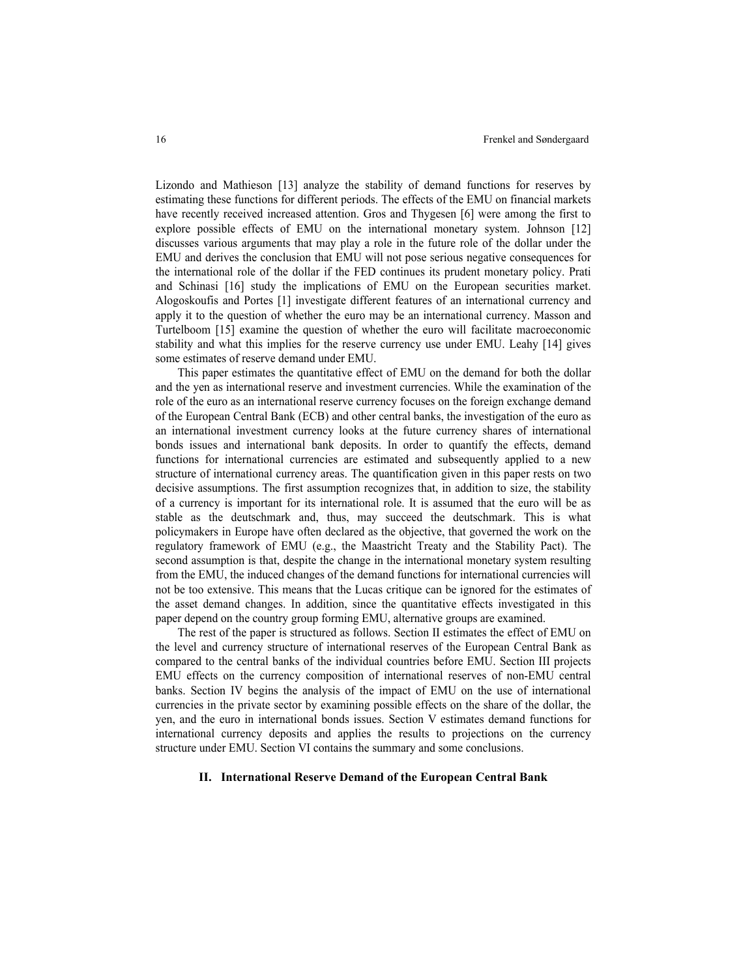Lizondo and Mathieson [13] analyze the stability of demand functions for reserves by estimating these functions for different periods. The effects of the EMU on financial markets have recently received increased attention. Gros and Thygesen [6] were among the first to explore possible effects of EMU on the international monetary system. Johnson [12] discusses various arguments that may play a role in the future role of the dollar under the EMU and derives the conclusion that EMU will not pose serious negative consequences for the international role of the dollar if the FED continues its prudent monetary policy. Prati and Schinasi [16] study the implications of EMU on the European securities market. Alogoskoufis and Portes [1] investigate different features of an international currency and apply it to the question of whether the euro may be an international currency. Masson and Turtelboom [15] examine the question of whether the euro will facilitate macroeconomic stability and what this implies for the reserve currency use under EMU. Leahy [14] gives some estimates of reserve demand under EMU.

This paper estimates the quantitative effect of EMU on the demand for both the dollar and the yen as international reserve and investment currencies. While the examination of the role of the euro as an international reserve currency focuses on the foreign exchange demand of the European Central Bank (ECB) and other central banks, the investigation of the euro as an international investment currency looks at the future currency shares of international bonds issues and international bank deposits. In order to quantify the effects, demand functions for international currencies are estimated and subsequently applied to a new structure of international currency areas. The quantification given in this paper rests on two decisive assumptions. The first assumption recognizes that, in addition to size, the stability of a currency is important for its international role. It is assumed that the euro will be as stable as the deutschmark and, thus, may succeed the deutschmark. This is what policymakers in Europe have often declared as the objective, that governed the work on the regulatory framework of EMU (e.g., the Maastricht Treaty and the Stability Pact). The second assumption is that, despite the change in the international monetary system resulting from the EMU, the induced changes of the demand functions for international currencies will not be too extensive. This means that the Lucas critique can be ignored for the estimates of the asset demand changes. In addition, since the quantitative effects investigated in this paper depend on the country group forming EMU, alternative groups are examined.

The rest of the paper is structured as follows. Section II estimates the effect of EMU on the level and currency structure of international reserves of the European Central Bank as compared to the central banks of the individual countries before EMU. Section III projects EMU effects on the currency composition of international reserves of non-EMU central banks. Section IV begins the analysis of the impact of EMU on the use of international currencies in the private sector by examining possible effects on the share of the dollar, the yen, and the euro in international bonds issues. Section V estimates demand functions for international currency deposits and applies the results to projections on the currency structure under EMU. Section VI contains the summary and some conclusions.

#### **II. International Reserve Demand of the European Central Bank**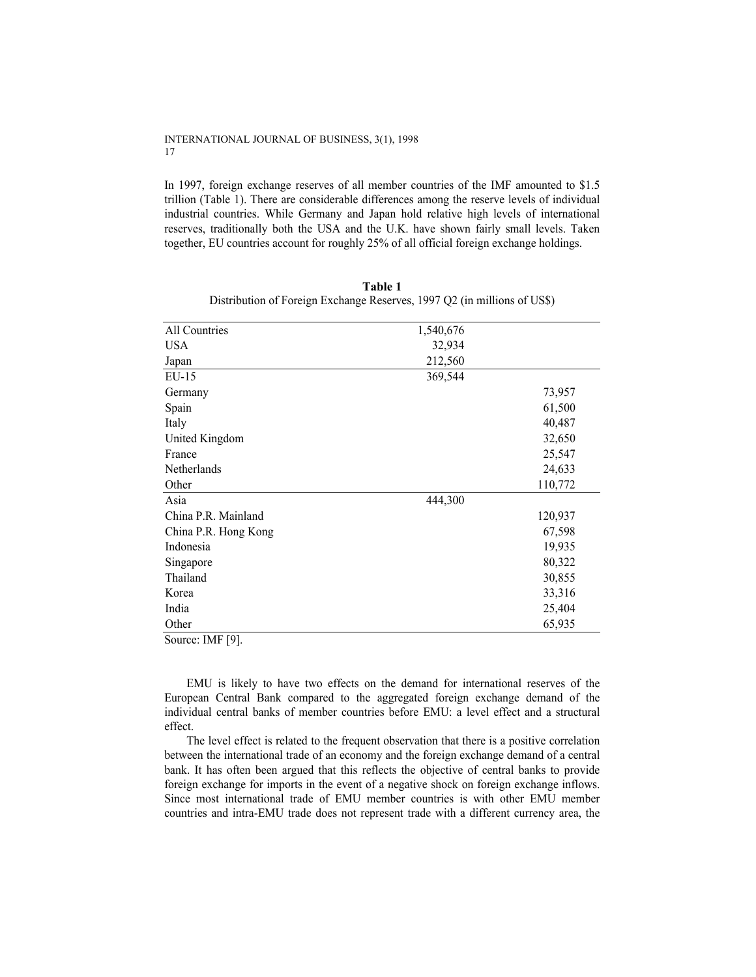In 1997, foreign exchange reserves of all member countries of the IMF amounted to \$1.5 trillion (Table 1). There are considerable differences among the reserve levels of individual industrial countries. While Germany and Japan hold relative high levels of international reserves, traditionally both the USA and the U.K. have shown fairly small levels. Taken together, EU countries account for roughly 25% of all official foreign exchange holdings.

| All Countries        | 1,540,676 |         |
|----------------------|-----------|---------|
| <b>USA</b>           | 32,934    |         |
| Japan                | 212,560   |         |
| $EU-15$              | 369,544   |         |
| Germany              |           | 73,957  |
| Spain                |           | 61,500  |
| Italy                |           | 40,487  |
| United Kingdom       |           | 32,650  |
| France               |           | 25,547  |
| Netherlands          |           | 24,633  |
| Other                |           | 110,772 |
| Asia                 | 444,300   |         |
| China P.R. Mainland  |           | 120,937 |
| China P.R. Hong Kong |           | 67,598  |
| Indonesia            |           | 19,935  |
| Singapore            |           | 80,322  |
| Thailand             |           | 30,855  |
| Korea                |           | 33,316  |
| India                |           | 25,404  |
| Other                |           | 65,935  |
| Source: IMF [9].     |           |         |

**Table 1**  Distribution of Foreign Exchange Reserves, 1997 Q2 (in millions of US\$)

EMU is likely to have two effects on the demand for international reserves of the European Central Bank compared to the aggregated foreign exchange demand of the individual central banks of member countries before EMU: a level effect and a structural effect.

The level effect is related to the frequent observation that there is a positive correlation between the international trade of an economy and the foreign exchange demand of a central bank. It has often been argued that this reflects the objective of central banks to provide foreign exchange for imports in the event of a negative shock on foreign exchange inflows. Since most international trade of EMU member countries is with other EMU member countries and intra-EMU trade does not represent trade with a different currency area, the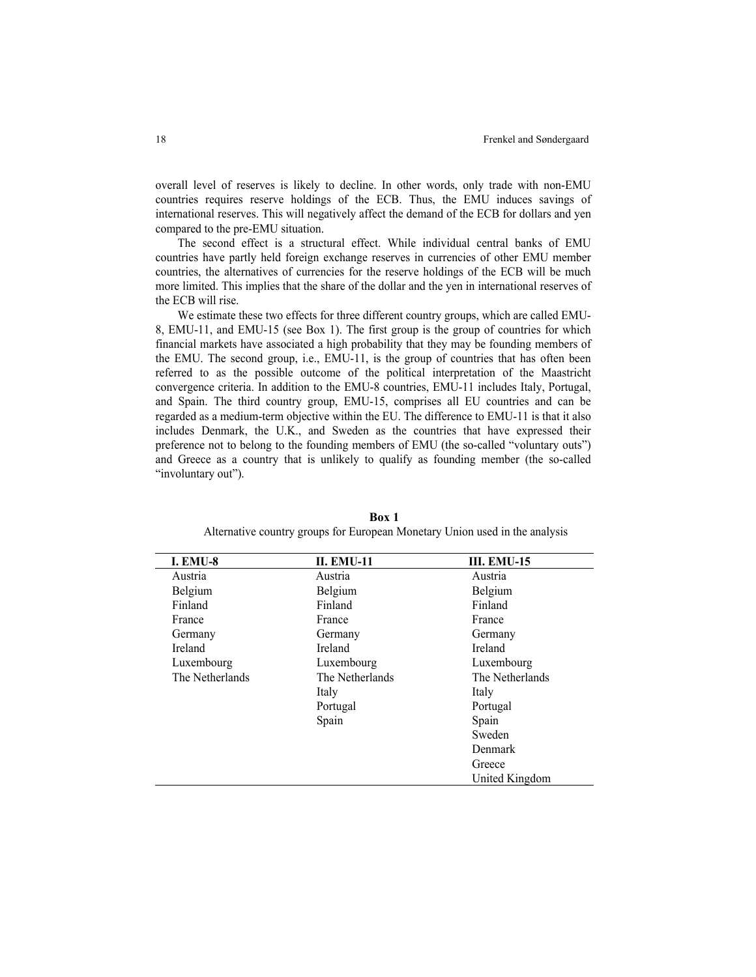overall level of reserves is likely to decline. In other words, only trade with non-EMU countries requires reserve holdings of the ECB. Thus, the EMU induces savings of international reserves. This will negatively affect the demand of the ECB for dollars and yen compared to the pre-EMU situation.

The second effect is a structural effect. While individual central banks of EMU countries have partly held foreign exchange reserves in currencies of other EMU member countries, the alternatives of currencies for the reserve holdings of the ECB will be much more limited. This implies that the share of the dollar and the yen in international reserves of the ECB will rise.

We estimate these two effects for three different country groups, which are called EMU-8, EMU-11, and EMU-15 (see Box 1). The first group is the group of countries for which financial markets have associated a high probability that they may be founding members of the EMU. The second group, i.e., EMU-11, is the group of countries that has often been referred to as the possible outcome of the political interpretation of the Maastricht convergence criteria. In addition to the EMU-8 countries, EMU-11 includes Italy, Portugal, and Spain. The third country group, EMU-15, comprises all EU countries and can be regarded as a medium-term objective within the EU. The difference to EMU-11 is that it also includes Denmark, the U.K., and Sweden as the countries that have expressed their preference not to belong to the founding members of EMU (the so-called "voluntary outs") and Greece as a country that is unlikely to qualify as founding member (the so-called "involuntary out").

| <b>I. EMU-8</b> | <b>II. EMU-11</b> | <b>III. EMU-15</b> |
|-----------------|-------------------|--------------------|
| Austria         | Austria           | Austria            |
| Belgium         | Belgium           | Belgium            |
| Finland         | Finland           | Finland            |
| France          | France            | France             |
| Germany         | Germany           | Germany            |
| Ireland         | Ireland           | Ireland            |
| Luxembourg      | Luxembourg        | Luxembourg         |
| The Netherlands | The Netherlands   | The Netherlands    |
|                 | Italy             | Italy              |
|                 | Portugal          | Portugal           |
|                 | Spain             | Spain              |
|                 |                   | Sweden             |
|                 |                   | Denmark            |
|                 |                   | Greece             |
|                 |                   | United Kingdom     |

**Box 1**  Alternative country groups for European Monetary Union used in the analysis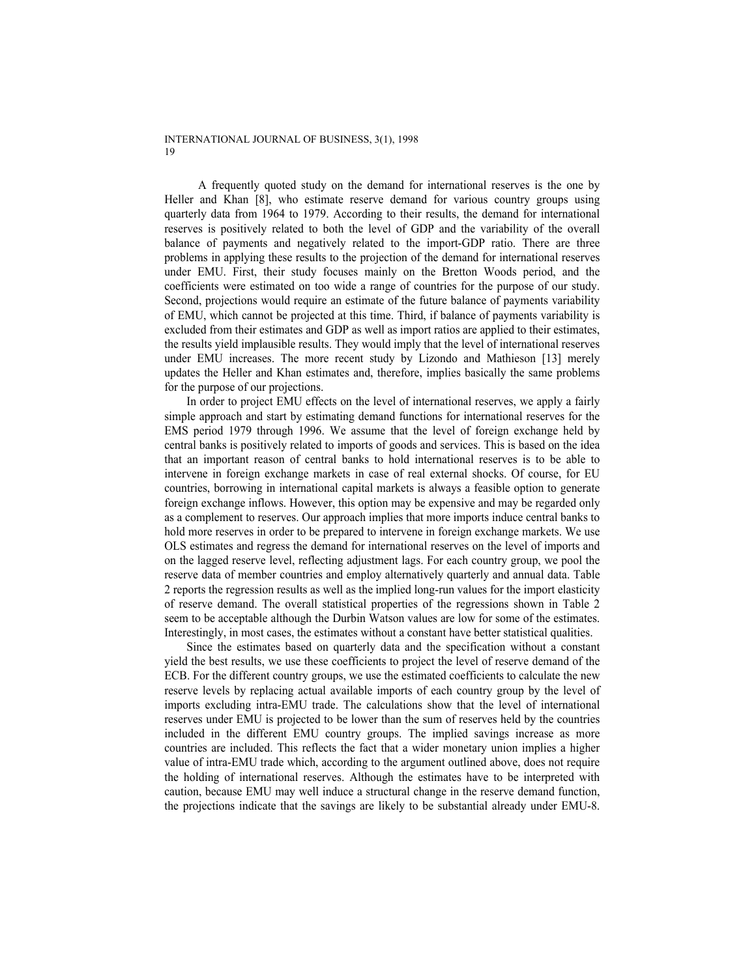A frequently quoted study on the demand for international reserves is the one by Heller and Khan [8], who estimate reserve demand for various country groups using quarterly data from 1964 to 1979. According to their results, the demand for international reserves is positively related to both the level of GDP and the variability of the overall balance of payments and negatively related to the import-GDP ratio. There are three problems in applying these results to the projection of the demand for international reserves under EMU. First, their study focuses mainly on the Bretton Woods period, and the coefficients were estimated on too wide a range of countries for the purpose of our study. Second, projections would require an estimate of the future balance of payments variability of EMU, which cannot be projected at this time. Third, if balance of payments variability is excluded from their estimates and GDP as well as import ratios are applied to their estimates, the results yield implausible results. They would imply that the level of international reserves under EMU increases. The more recent study by Lizondo and Mathieson [13] merely updates the Heller and Khan estimates and, therefore, implies basically the same problems for the purpose of our projections.

In order to project EMU effects on the level of international reserves, we apply a fairly simple approach and start by estimating demand functions for international reserves for the EMS period 1979 through 1996. We assume that the level of foreign exchange held by central banks is positively related to imports of goods and services. This is based on the idea that an important reason of central banks to hold international reserves is to be able to intervene in foreign exchange markets in case of real external shocks. Of course, for EU countries, borrowing in international capital markets is always a feasible option to generate foreign exchange inflows. However, this option may be expensive and may be regarded only as a complement to reserves. Our approach implies that more imports induce central banks to hold more reserves in order to be prepared to intervene in foreign exchange markets. We use OLS estimates and regress the demand for international reserves on the level of imports and on the lagged reserve level, reflecting adjustment lags. For each country group, we pool the reserve data of member countries and employ alternatively quarterly and annual data. Table 2 reports the regression results as well as the implied long-run values for the import elasticity of reserve demand. The overall statistical properties of the regressions shown in Table 2 seem to be acceptable although the Durbin Watson values are low for some of the estimates. Interestingly, in most cases, the estimates without a constant have better statistical qualities.

Since the estimates based on quarterly data and the specification without a constant yield the best results, we use these coefficients to project the level of reserve demand of the ECB. For the different country groups, we use the estimated coefficients to calculate the new reserve levels by replacing actual available imports of each country group by the level of imports excluding intra-EMU trade. The calculations show that the level of international reserves under EMU is projected to be lower than the sum of reserves held by the countries included in the different EMU country groups. The implied savings increase as more countries are included. This reflects the fact that a wider monetary union implies a higher value of intra-EMU trade which, according to the argument outlined above, does not require the holding of international reserves. Although the estimates have to be interpreted with caution, because EMU may well induce a structural change in the reserve demand function, the projections indicate that the savings are likely to be substantial already under EMU-8.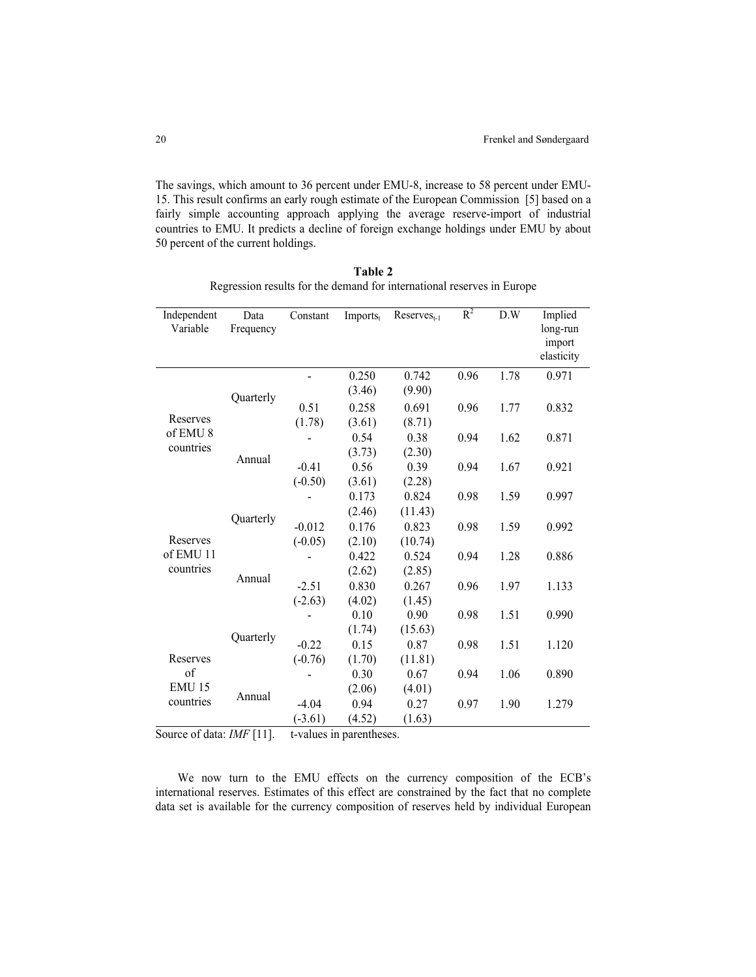The savings, which amount to 36 percent under EMU-8, increase to 58 percent under EMU-15. This result confirms an early rough estimate of the European Commission [5] based on a fairly simple accounting approach applying the average reserve-import of industrial countries to EMU. It predicts a decline of foreign exchange holdings under EMU by about 50 percent of the current holdings.

| .      |      |  |  |                                                                        |       |     |         |
|--------|------|--|--|------------------------------------------------------------------------|-------|-----|---------|
|        |      |  |  | Regression results for the demand for international reserves in Europe |       |     |         |
| endent | Data |  |  | Constant Imports, Reserves.                                            | $R^2$ | D.W | Implied |

**Table 2** 

| Independent<br>Variable          | Data<br>Frequency | Constant              | Imports <sub>t</sub> | $Reserves_{t-1}$ | $R^2$ | D.W  | Implied<br>long-run<br>import<br>elasticity |
|----------------------------------|-------------------|-----------------------|----------------------|------------------|-------|------|---------------------------------------------|
|                                  | Quarterly         |                       | 0.250<br>(3.46)      | 0.742<br>(9.90)  | 0.96  | 1.78 | 0.971                                       |
| Reserves                         |                   | 0.51<br>(1.78)        | 0.258<br>(3.61)      | 0.691<br>(8.71)  | 0.96  | 1.77 | 0.832                                       |
| of EMU <sub>8</sub><br>countries | Annual            |                       | 0.54<br>(3.73)       | 0.38<br>(2.30)   | 0.94  | 1.62 | 0.871                                       |
|                                  |                   | $-0.41$<br>$(-0.50)$  | 0.56<br>(3.61)       | 0.39<br>(2.28)   | 0.94  | 1.67 | 0.921                                       |
|                                  |                   |                       | 0.173<br>(2.46)      | 0.824<br>(11.43) | 0.98  | 1.59 | 0.997                                       |
| Reserves                         | Quarterly         | $-0.012$<br>$(-0.05)$ | 0.176<br>(2.10)      | 0.823<br>(10.74) | 0.98  | 1.59 | 0.992                                       |
| of EMU 11<br>countries           | Annual            |                       | 0.422<br>(2.62)      | 0.524<br>(2.85)  | 0.94  | 1.28 | 0.886                                       |
|                                  |                   | $-2.51$<br>$(-2.63)$  | 0.830<br>(4.02)      | 0.267<br>(1.45)  | 0.96  | 1.97 | 1.133                                       |
|                                  |                   |                       | 0.10<br>(1.74)       | 0.90<br>(15.63)  | 0.98  | 1.51 | 0.990                                       |
| Reserves                         | Quarterly         | $-0.22$<br>$(-0.76)$  | 0.15<br>(1.70)       | 0.87<br>(11.81)  | 0.98  | 1.51 | 1.120                                       |
| of<br><b>EMU 15</b>              |                   |                       | 0.30<br>(2.06)       | 0.67<br>(4.01)   | 0.94  | 1.06 | 0.890                                       |
| countries                        | Annual            | $-4.04$<br>$(-3.61)$  | 0.94<br>(4.52)       | 0.27<br>(1.63)   | 0.97  | 1.90 | 1.279                                       |

Source of data: *IMF* [11]. t-values in parentheses.

We now turn to the EMU effects on the currency composition of the ECB's international reserves. Estimates of this effect are constrained by the fact that no complete data set is available for the currency composition of reserves held by individual European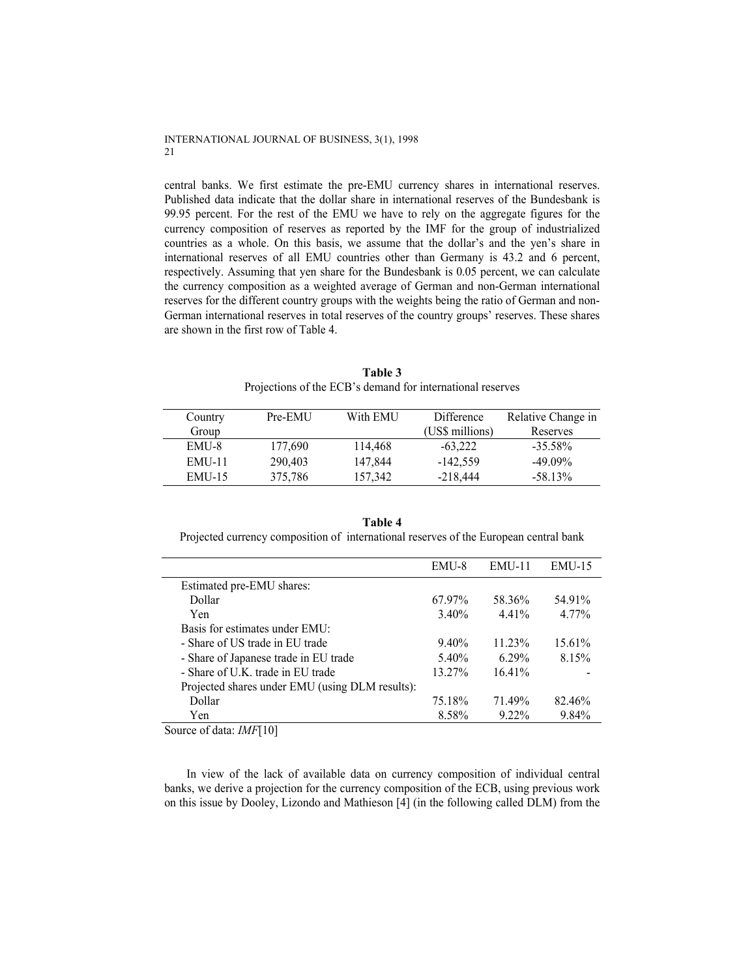central banks. We first estimate the pre-EMU currency shares in international reserves. Published data indicate that the dollar share in international reserves of the Bundesbank is 99.95 percent. For the rest of the EMU we have to rely on the aggregate figures for the currency composition of reserves as reported by the IMF for the group of industrialized countries as a whole. On this basis, we assume that the dollar's and the yen's share in international reserves of all EMU countries other than Germany is 43.2 and 6 percent, respectively. Assuming that yen share for the Bundesbank is 0.05 percent, we can calculate the currency composition as a weighted average of German and non-German international reserves for the different country groups with the weights being the ratio of German and non-German international reserves in total reserves of the country groups' reserves. These shares are shown in the first row of Table 4.

| Country       | Pre-EMU | With EMU | Difference      | Relative Change in |
|---------------|---------|----------|-----------------|--------------------|
| Group         |         |          | (US\$ millions) | Reserves           |
| EMU-8         | 177,690 | 114,468  | $-63,222$       | $-35.58\%$         |
| EMU-11        | 290,403 | 147,844  | $-142,559$      | $-49.09\%$         |
| <b>EMU-15</b> | 375,786 | 157,342  | $-218,444$      | $-58.13%$          |

**Table 3**  Projections of the ECB's demand for international reserves

|  | Table 4                                                                               |  |
|--|---------------------------------------------------------------------------------------|--|
|  | Projected currency composition of international reserves of the European central bank |  |

|                                                 | EMU-8    | $EMU-11$  | $EMU-15$ |
|-------------------------------------------------|----------|-----------|----------|
| Estimated pre-EMU shares:                       |          |           |          |
| Dollar                                          | 67.97%   | 58.36%    | 54.91%   |
| Yen                                             | $3.40\%$ | $4.41\%$  | $4.77\%$ |
| Basis for estimates under EMU:                  |          |           |          |
| - Share of US trade in EU trade                 | $9.40\%$ | $11.23\%$ | 15.61%   |
| - Share of Japanese trade in EU trade           | 5.40%    | 629%      | 8.15%    |
| - Share of U.K. trade in EU trade               | 13.27%   | 16.41%    |          |
| Projected shares under EMU (using DLM results): |          |           |          |
| Dollar                                          | 75.18%   | 71.49%    | 82.46%   |
| Yen                                             | 8.58%    | $9.22\%$  | 9.84%    |
|                                                 |          |           |          |

Source of data: *IMF*[10]

In view of the lack of available data on currency composition of individual central banks, we derive a projection for the currency composition of the ECB, using previous work on this issue by Dooley, Lizondo and Mathieson [4] (in the following called DLM) from the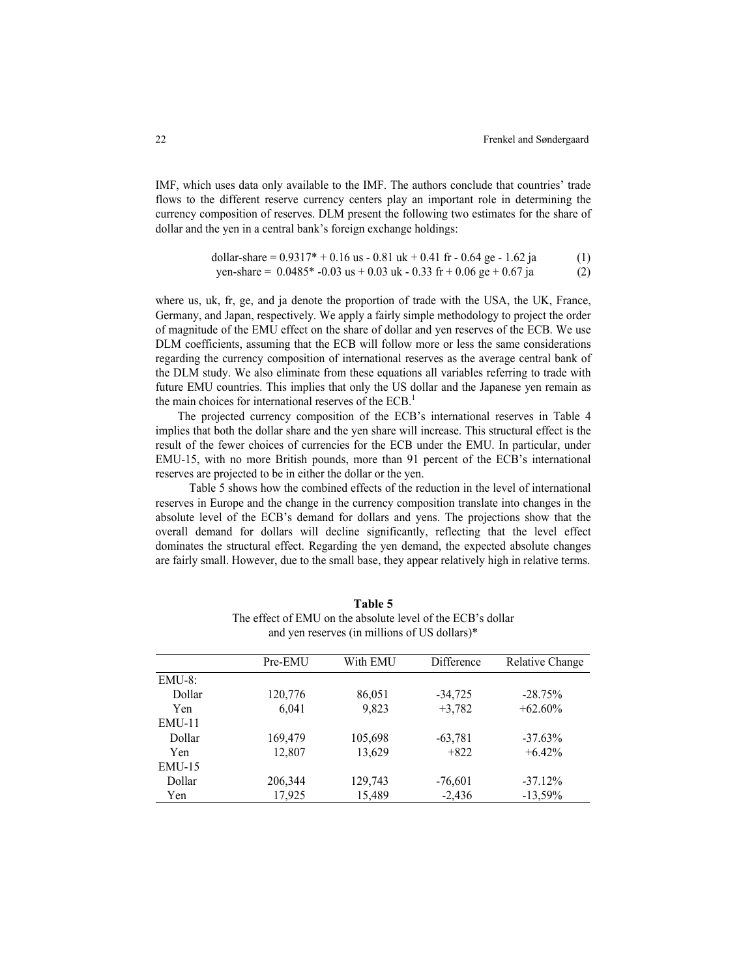IMF, which uses data only available to the IMF. The authors conclude that countries' trade flows to the different reserve currency centers play an important role in determining the currency composition of reserves. DLM present the following two estimates for the share of dollar and the yen in a central bank's foreign exchange holdings:

dollar-share = 
$$
0.9317^* + 0.16
$$
 us -  $0.81$  uk +  $0.41$  fr -  $0.64$  ge -  $1.62$  ja  
yen-share =  $0.0485^* - 0.03$  us +  $0.03$  uk -  $0.33$  fr +  $0.06$  ge +  $0.67$  ja (2)

where us, uk, fr, ge, and ja denote the proportion of trade with the USA, the UK, France, Germany, and Japan, respectively. We apply a fairly simple methodology to project the order of magnitude of the EMU effect on the share of dollar and yen reserves of the ECB. We use DLM coefficients, assuming that the ECB will follow more or less the same considerations regarding the currency composition of international reserves as the average central bank of the DLM study. We also eliminate from these equations all variables referring to trade with future EMU countries. This implies that only the US dollar and the Japanese yen remain as the main choices for international reserves of the  $ECB<sup>1</sup>$ .

 The projected currency composition of the ECB's international reserves in Table 4 implies that both the dollar share and the yen share will increase. This structural effect is the result of the fewer choices of currencies for the ECB under the EMU. In particular, under EMU-15, with no more British pounds, more than 91 percent of the ECB's international reserves are projected to be in either the dollar or the yen.

 Table 5 shows how the combined effects of the reduction in the level of international reserves in Europe and the change in the currency composition translate into changes in the absolute level of the ECB's demand for dollars and yens. The projections show that the overall demand for dollars will decline significantly, reflecting that the level effect dominates the structural effect. Regarding the yen demand, the expected absolute changes are fairly small. However, due to the small base, they appear relatively high in relative terms.

|           | Pre-EMU | With EMU | Difference | Relative Change |
|-----------|---------|----------|------------|-----------------|
| $EMU-8$ : |         |          |            |                 |
| Dollar    | 120,776 | 86,051   | $-34,725$  | $-28.75%$       |
| Yen       | 6,041   | 9,823    | $+3,782$   | $+62.60\%$      |
| $EMU-11$  |         |          |            |                 |
| Dollar    | 169,479 | 105,698  | $-63,781$  | $-37.63\%$      |
| Yen       | 12,807  | 13,629   | $+822$     | $+6.42%$        |
| $EMU-15$  |         |          |            |                 |
| Dollar    | 206,344 | 129,743  | $-76,601$  | $-37.12%$       |
| Yen       | 17,925  | 15.489   | $-2.436$   | $-13.59\%$      |

**Table 5**  The effect of EMU on the absolute level of the ECB's dollar and yen reserves (in millions of US dollars)\*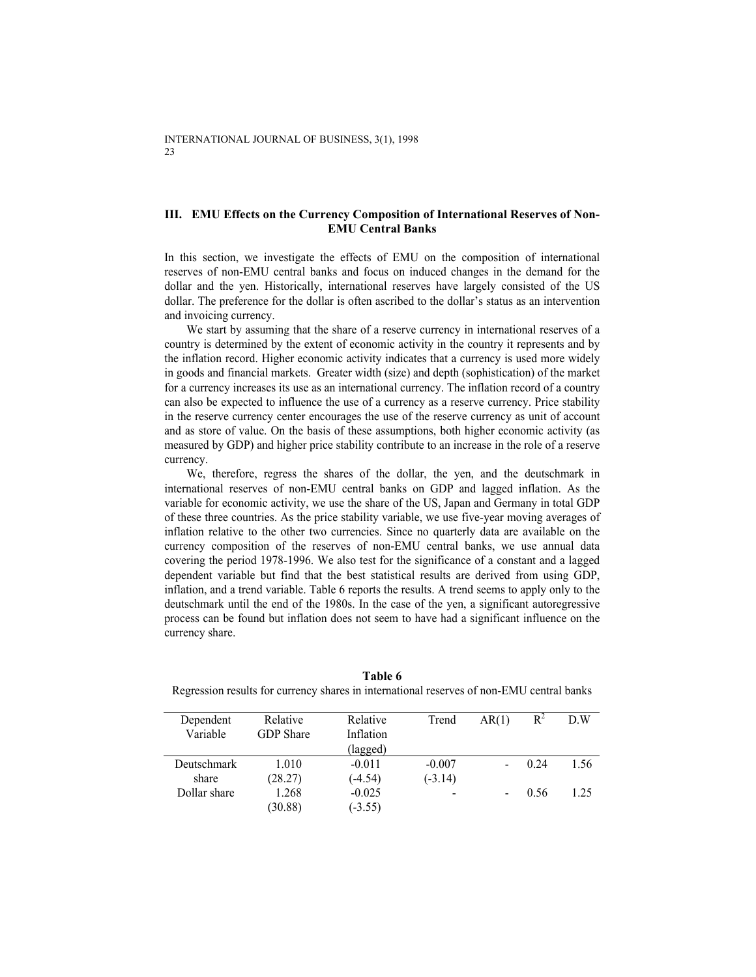## **III. EMU Effects on the Currency Composition of International Reserves of Non-EMU Central Banks**

In this section, we investigate the effects of EMU on the composition of international reserves of non-EMU central banks and focus on induced changes in the demand for the dollar and the yen. Historically, international reserves have largely consisted of the US dollar. The preference for the dollar is often ascribed to the dollar's status as an intervention and invoicing currency.

We start by assuming that the share of a reserve currency in international reserves of a country is determined by the extent of economic activity in the country it represents and by the inflation record. Higher economic activity indicates that a currency is used more widely in goods and financial markets. Greater width (size) and depth (sophistication) of the market for a currency increases its use as an international currency. The inflation record of a country can also be expected to influence the use of a currency as a reserve currency. Price stability in the reserve currency center encourages the use of the reserve currency as unit of account and as store of value. On the basis of these assumptions, both higher economic activity (as measured by GDP) and higher price stability contribute to an increase in the role of a reserve currency.

We, therefore, regress the shares of the dollar, the yen, and the deutschmark in international reserves of non-EMU central banks on GDP and lagged inflation. As the variable for economic activity, we use the share of the US, Japan and Germany in total GDP of these three countries. As the price stability variable, we use five-year moving averages of inflation relative to the other two currencies. Since no quarterly data are available on the currency composition of the reserves of non-EMU central banks, we use annual data covering the period 1978-1996. We also test for the significance of a constant and a lagged dependent variable but find that the best statistical results are derived from using GDP, inflation, and a trend variable. Table 6 reports the results. A trend seems to apply only to the deutschmark until the end of the 1980s. In the case of the yen, a significant autoregressive process can be found but inflation does not seem to have had a significant influence on the currency share.

| Dependent    | Relative         | Relative  | Trend     | AR(1) | $R^2$ | D W  |
|--------------|------------------|-----------|-----------|-------|-------|------|
| Variable     | <b>GDP</b> Share | Inflation |           |       |       |      |
|              |                  | (lagged)  |           |       |       |      |
| Deutschmark  | 1.010            | $-0.011$  | $-0.007$  |       | 0.24  | 1.56 |
| share        | (28.27)          | $(-4.54)$ | $(-3.14)$ |       |       |      |
| Dollar share | 1.268            | $-0.025$  |           |       | 0.56  | 1.25 |
|              | (30.88)          | $(-3.55)$ |           |       |       |      |

**Table 6**  Regression results for currency shares in international reserves of non-EMU central banks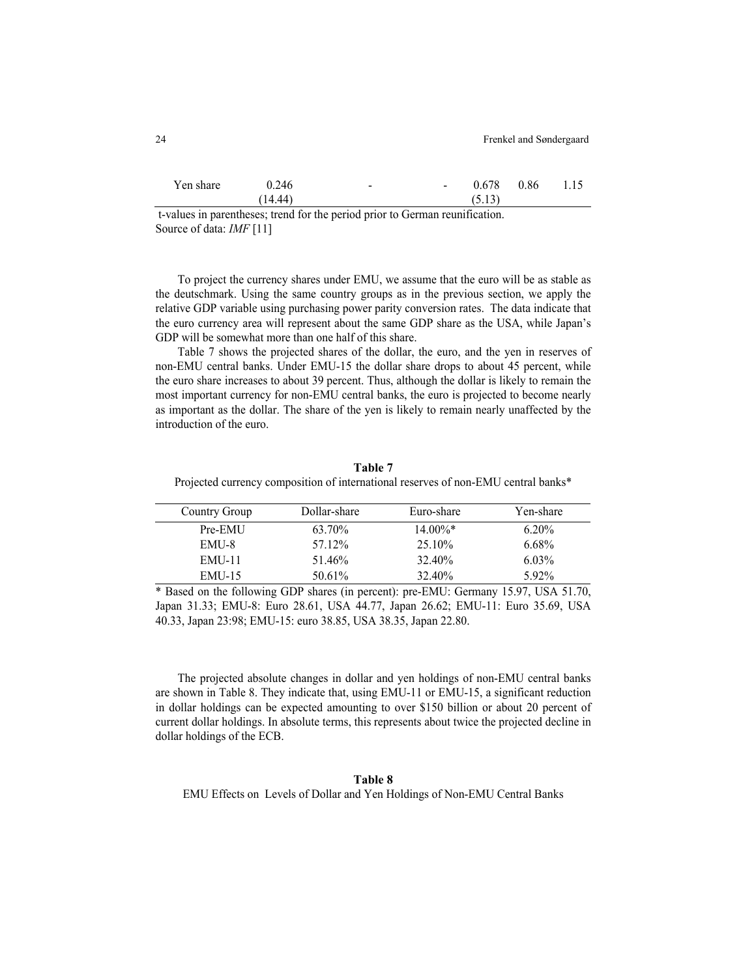| Yen share | 0.246   | $\overline{\phantom{a}}$ | $0.678$ $0.86$ 1.15 |  |
|-----------|---------|--------------------------|---------------------|--|
|           | (14.44) |                          | (5.13)              |  |

 t-values in parentheses; trend for the period prior to German reunification. Source of data: *IMF* [11]

To project the currency shares under EMU, we assume that the euro will be as stable as the deutschmark. Using the same country groups as in the previous section, we apply the relative GDP variable using purchasing power parity conversion rates. The data indicate that the euro currency area will represent about the same GDP share as the USA, while Japan's GDP will be somewhat more than one half of this share.

Table 7 shows the projected shares of the dollar, the euro, and the yen in reserves of non-EMU central banks. Under EMU-15 the dollar share drops to about 45 percent, while the euro share increases to about 39 percent. Thus, although the dollar is likely to remain the most important currency for non-EMU central banks, the euro is projected to become nearly as important as the dollar. The share of the yen is likely to remain nearly unaffected by the introduction of the euro.

**Table 7**  Projected currency composition of international reserves of non-EMU central banks\*

| Country Group | Dollar-share | Euro-share | Yen-share |
|---------------|--------------|------------|-----------|
| Pre-EMU       | 63.70%       | $14.00\%*$ | $6.20\%$  |
| EMU-8         | 57.12%       | $25.10\%$  | 6.68%     |
| EMU-11        | 51.46%       | 32.40%     | $6.03\%$  |
| <b>EMU-15</b> | 50.61%       | 32.40%     | 5.92%     |

\* Based on the following GDP shares (in percent): pre-EMU: Germany 15.97, USA 51.70, Japan 31.33; EMU-8: Euro 28.61, USA 44.77, Japan 26.62; EMU-11: Euro 35.69, USA 40.33, Japan 23:98; EMU-15: euro 38.85, USA 38.35, Japan 22.80.

The projected absolute changes in dollar and yen holdings of non-EMU central banks are shown in Table 8. They indicate that, using EMU-11 or EMU-15, a significant reduction in dollar holdings can be expected amounting to over \$150 billion or about 20 percent of current dollar holdings. In absolute terms, this represents about twice the projected decline in dollar holdings of the ECB.

## **Table 8**  EMU Effects on Levels of Dollar and Yen Holdings of Non-EMU Central Banks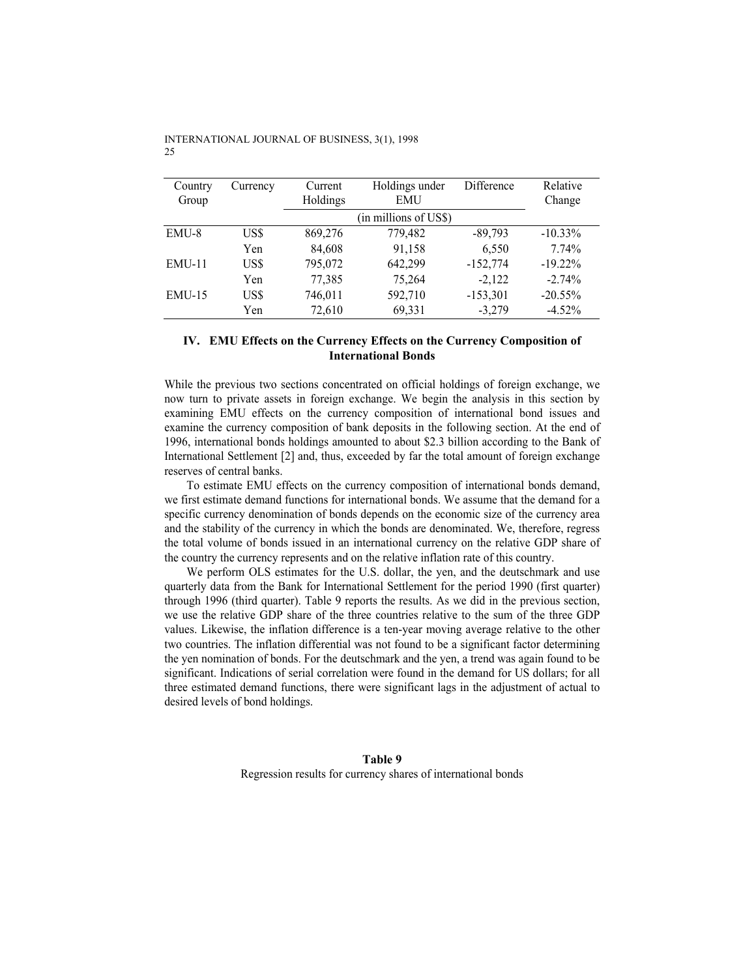| Country  | Currency | Current  | Holdings under        | Difference | Relative   |
|----------|----------|----------|-----------------------|------------|------------|
| Group    |          | Holdings | <b>EMU</b>            |            | Change     |
|          |          |          | (in millions of US\$) |            |            |
| EMU-8    | US\$     | 869,276  | 779,482               | $-89,793$  | $-10.33\%$ |
|          | Yen      | 84,608   | 91,158                | 6,550      | 7.74%      |
| $EMU-11$ | US\$     | 795,072  | 642,299               | $-152,774$ | $-19.22\%$ |
|          | Yen      | 77,385   | 75,264                | $-2,122$   | $-2.74%$   |
| $EMU-15$ | US\$     | 746,011  | 592,710               | $-153,301$ | $-20.55%$  |
|          | Yen      | 72,610   | 69,331                | $-3,279$   | $-4.52%$   |

## **IV. EMU Effects on the Currency Effects on the Currency Composition of International Bonds**

While the previous two sections concentrated on official holdings of foreign exchange, we now turn to private assets in foreign exchange. We begin the analysis in this section by examining EMU effects on the currency composition of international bond issues and examine the currency composition of bank deposits in the following section. At the end of 1996, international bonds holdings amounted to about \$2.3 billion according to the Bank of International Settlement [2] and, thus, exceeded by far the total amount of foreign exchange reserves of central banks.

To estimate EMU effects on the currency composition of international bonds demand, we first estimate demand functions for international bonds. We assume that the demand for a specific currency denomination of bonds depends on the economic size of the currency area and the stability of the currency in which the bonds are denominated. We, therefore, regress the total volume of bonds issued in an international currency on the relative GDP share of the country the currency represents and on the relative inflation rate of this country.

We perform OLS estimates for the U.S. dollar, the yen, and the deutschmark and use quarterly data from the Bank for International Settlement for the period 1990 (first quarter) through 1996 (third quarter). Table 9 reports the results. As we did in the previous section, we use the relative GDP share of the three countries relative to the sum of the three GDP values. Likewise, the inflation difference is a ten-year moving average relative to the other two countries. The inflation differential was not found to be a significant factor determining the yen nomination of bonds. For the deutschmark and the yen, a trend was again found to be significant. Indications of serial correlation were found in the demand for US dollars; for all three estimated demand functions, there were significant lags in the adjustment of actual to desired levels of bond holdings.

# **Table 9**  Regression results for currency shares of international bonds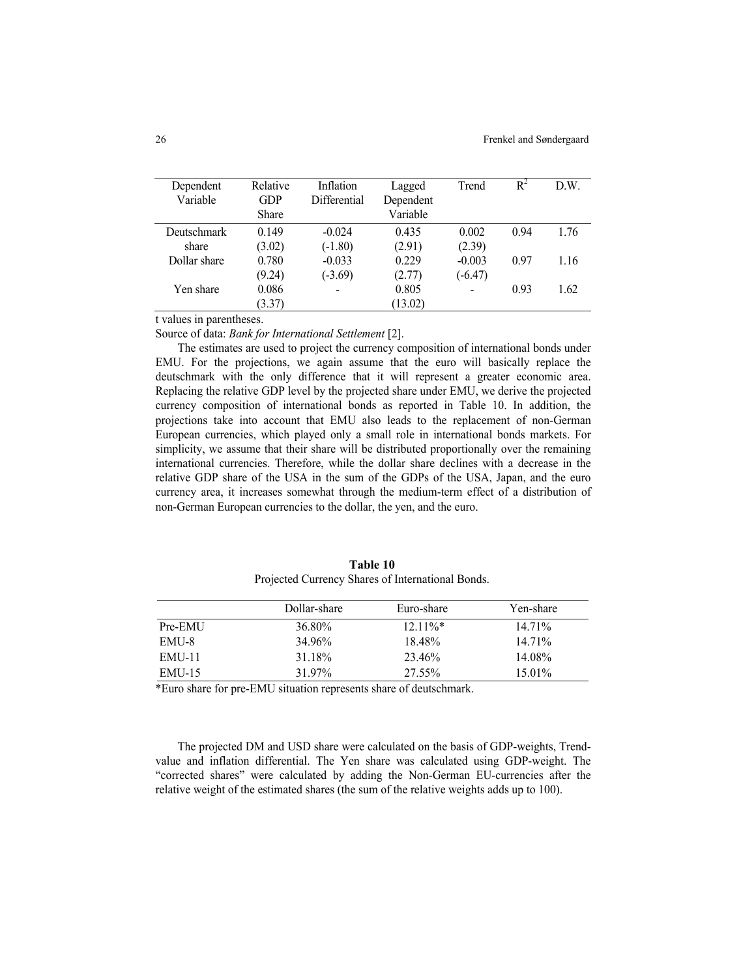| Dependent          | Relative     | Inflation      | Lagged    | Trend          | $R^2$ | D.W. |
|--------------------|--------------|----------------|-----------|----------------|-------|------|
| Variable           | <b>GDP</b>   | Differential   | Dependent |                |       |      |
|                    | <b>Share</b> |                | Variable  |                |       |      |
| <b>Deutschmark</b> | 0.149        | $-0.024$       | 0.435     | 0.002          | 0.94  | 1.76 |
| share              | (3.02)       | $(-1.80)$      | (2.91)    | (2.39)         |       |      |
| Dollar share       | 0.780        | $-0.033$       | 0.229     | $-0.003$       | 0.97  | 1.16 |
|                    | (9.24)       | $(-3.69)$      | (2.77)    | $(-6.47)$      |       |      |
| Yen share          | 0.086        | $\blacksquare$ | 0.805     | $\overline{a}$ | 0.93  | 1.62 |
|                    | (3.37)       |                | (13.02)   |                |       |      |

t values in parentheses.

Source of data: *Bank for International Settlement* [2].

The estimates are used to project the currency composition of international bonds under EMU. For the projections, we again assume that the euro will basically replace the deutschmark with the only difference that it will represent a greater economic area. Replacing the relative GDP level by the projected share under EMU, we derive the projected currency composition of international bonds as reported in Table 10. In addition, the projections take into account that EMU also leads to the replacement of non-German European currencies, which played only a small role in international bonds markets. For simplicity, we assume that their share will be distributed proportionally over the remaining international currencies. Therefore, while the dollar share declines with a decrease in the relative GDP share of the USA in the sum of the GDPs of the USA, Japan, and the euro currency area, it increases somewhat through the medium-term effect of a distribution of non-German European currencies to the dollar, the yen, and the euro.

|               | Dollar-share | Euro-share | Yen-share |
|---------------|--------------|------------|-----------|
| Pre-EMU       | 36.80%       | $12.11\%*$ | 14.71%    |
| EMU-8         | 34.96%       | 18.48%     | 14.71%    |
| EMU-11        | 31.18%       | 23.46%     | 14 08%    |
| <b>EMU-15</b> | 31 97%       | 27.55%     | $15.01\%$ |

**Table 10**  Projected Currency Shares of International Bonds.

\*Euro share for pre-EMU situation represents share of deutschmark.

 The projected DM and USD share were calculated on the basis of GDP-weights, Trendvalue and inflation differential. The Yen share was calculated using GDP-weight. The "corrected shares" were calculated by adding the Non-German EU-currencies after the relative weight of the estimated shares (the sum of the relative weights adds up to 100).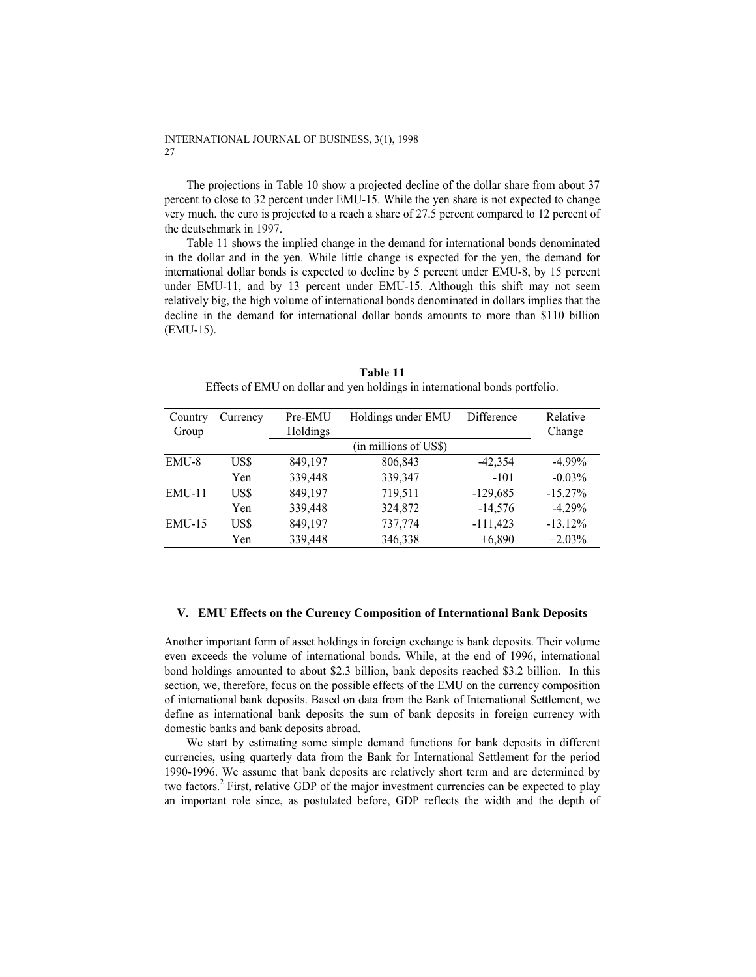The projections in Table 10 show a projected decline of the dollar share from about 37 percent to close to 32 percent under EMU-15. While the yen share is not expected to change very much, the euro is projected to a reach a share of 27.5 percent compared to 12 percent of the deutschmark in 1997.

Table 11 shows the implied change in the demand for international bonds denominated in the dollar and in the yen. While little change is expected for the yen, the demand for international dollar bonds is expected to decline by 5 percent under EMU-8, by 15 percent under EMU-11, and by 13 percent under EMU-15. Although this shift may not seem relatively big, the high volume of international bonds denominated in dollars implies that the decline in the demand for international dollar bonds amounts to more than \$110 billion (EMU-15).

| Country  | Currency | Pre-EMU  | Holdings under EMU    | Difference | Relative   |
|----------|----------|----------|-----------------------|------------|------------|
| Group    |          | Holdings |                       |            | Change     |
|          |          |          | (in millions of US\$) |            |            |
| EMU-8    | US\$     | 849.197  | 806,843               | $-42,354$  | $-4.99\%$  |
|          | Yen      | 339,448  | 339,347               | $-101$     | $-0.03%$   |
| $EMU-11$ | US\$     | 849,197  | 719,511               | $-129,685$ | $-15.27\%$ |
|          | Yen      | 339,448  | 324,872               | $-14,576$  | $-4.29%$   |
| $EMU-15$ | US\$     | 849,197  | 737,774               | $-111,423$ | $-13.12%$  |
|          | Yen      | 339,448  | 346,338               | $+6.890$   | $+2.03\%$  |

**Table 11**  Effects of EMU on dollar and yen holdings in international bonds portfolio.

#### **V. EMU Effects on the Curency Composition of International Bank Deposits**

Another important form of asset holdings in foreign exchange is bank deposits. Their volume even exceeds the volume of international bonds. While, at the end of 1996, international bond holdings amounted to about \$2.3 billion, bank deposits reached \$3.2 billion. In this section, we, therefore, focus on the possible effects of the EMU on the currency composition of international bank deposits. Based on data from the Bank of International Settlement, we define as international bank deposits the sum of bank deposits in foreign currency with domestic banks and bank deposits abroad.

We start by estimating some simple demand functions for bank deposits in different currencies, using quarterly data from the Bank for International Settlement for the period 1990-1996. We assume that bank deposits are relatively short term and are determined by two factors.<sup>2</sup> First, relative GDP of the major investment currencies can be expected to play an important role since, as postulated before, GDP reflects the width and the depth of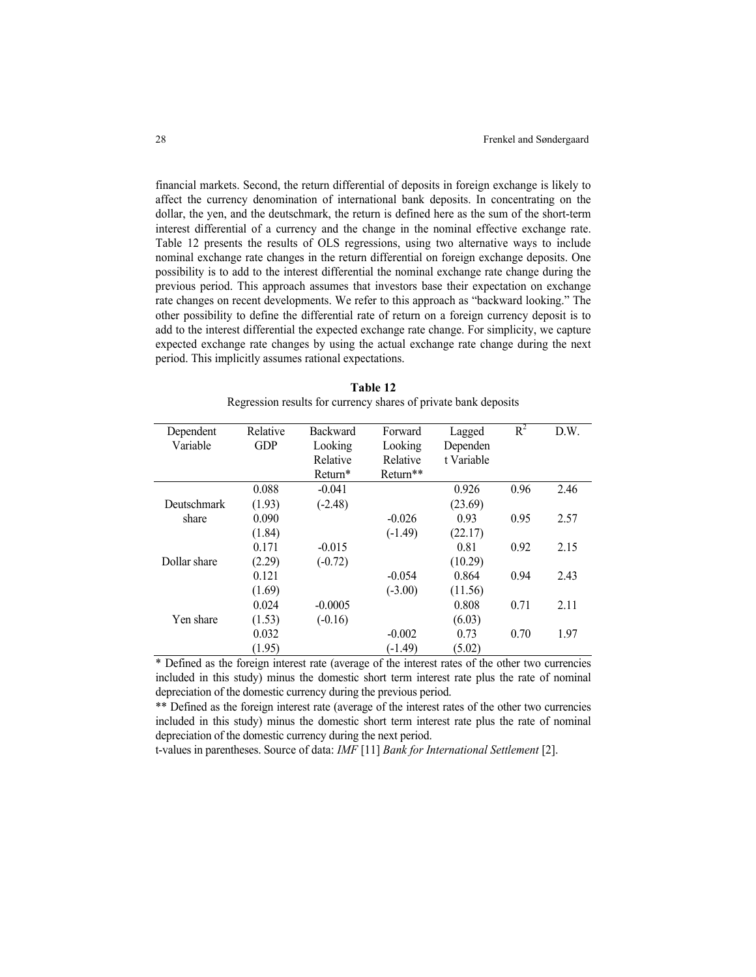financial markets. Second, the return differential of deposits in foreign exchange is likely to affect the currency denomination of international bank deposits. In concentrating on the dollar, the yen, and the deutschmark, the return is defined here as the sum of the short-term interest differential of a currency and the change in the nominal effective exchange rate. Table 12 presents the results of OLS regressions, using two alternative ways to include nominal exchange rate changes in the return differential on foreign exchange deposits. One possibility is to add to the interest differential the nominal exchange rate change during the previous period. This approach assumes that investors base their expectation on exchange rate changes on recent developments. We refer to this approach as "backward looking." The other possibility to define the differential rate of return on a foreign currency deposit is to add to the interest differential the expected exchange rate change. For simplicity, we capture expected exchange rate changes by using the actual exchange rate change during the next period. This implicitly assumes rational expectations.

| Dependent          | Relative   | <b>Backward</b> | Forward              | Lagged     | $R^2$ | D.W. |
|--------------------|------------|-----------------|----------------------|------------|-------|------|
| Variable           | <b>GDP</b> | Looking         | Looking              | Dependen   |       |      |
|                    |            | Relative        | Relative             | t Variable |       |      |
|                    |            | Return*         | Return <sup>**</sup> |            |       |      |
|                    | 0.088      | $-0.041$        |                      | 0.926      | 0.96  | 2.46 |
| <b>Deutschmark</b> | (1.93)     | $(-2.48)$       |                      | (23.69)    |       |      |
| share              | 0.090      |                 | $-0.026$             | 0.93       | 0.95  | 2.57 |
|                    | (1.84)     |                 | $(-1.49)$            | (22.17)    |       |      |
|                    | 0.171      | $-0.015$        |                      | 0.81       | 0.92  | 2.15 |
| Dollar share       | (2.29)     | $(-0.72)$       |                      | (10.29)    |       |      |
|                    | 0.121      |                 | $-0.054$             | 0.864      | 0.94  | 2.43 |
|                    | (1.69)     |                 | $(-3.00)$            | (11.56)    |       |      |
|                    | 0.024      | $-0.0005$       |                      | 0.808      | 0.71  | 2.11 |
| Yen share          | (1.53)     | $(-0.16)$       |                      | (6.03)     |       |      |
|                    | 0.032      |                 | $-0.002$             | 0.73       | 0.70  | 1.97 |
|                    | (1.95)     |                 | $(-1.49)$            | (5.02)     |       |      |

**Table 12**  Regression results for currency shares of private bank deposits

\* Defined as the foreign interest rate (average of the interest rates of the other two currencies included in this study) minus the domestic short term interest rate plus the rate of nominal depreciation of the domestic currency during the previous period.

\*\* Defined as the foreign interest rate (average of the interest rates of the other two currencies included in this study) minus the domestic short term interest rate plus the rate of nominal depreciation of the domestic currency during the next period.

t-values in parentheses. Source of data: *IMF* [11] *Bank for International Settlement* [2].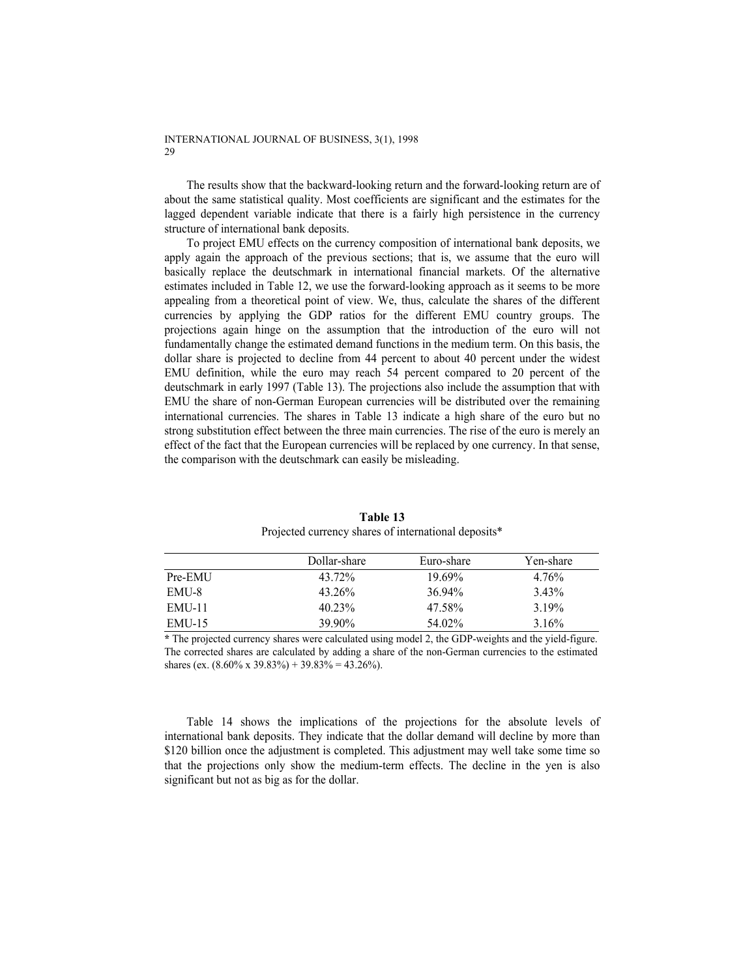The results show that the backward-looking return and the forward-looking return are of about the same statistical quality. Most coefficients are significant and the estimates for the lagged dependent variable indicate that there is a fairly high persistence in the currency structure of international bank deposits.

To project EMU effects on the currency composition of international bank deposits, we apply again the approach of the previous sections; that is, we assume that the euro will basically replace the deutschmark in international financial markets. Of the alternative estimates included in Table 12, we use the forward-looking approach as it seems to be more appealing from a theoretical point of view. We, thus, calculate the shares of the different currencies by applying the GDP ratios for the different EMU country groups. The projections again hinge on the assumption that the introduction of the euro will not fundamentally change the estimated demand functions in the medium term. On this basis, the dollar share is projected to decline from 44 percent to about 40 percent under the widest EMU definition, while the euro may reach 54 percent compared to 20 percent of the deutschmark in early 1997 (Table 13). The projections also include the assumption that with EMU the share of non-German European currencies will be distributed over the remaining international currencies. The shares in Table 13 indicate a high share of the euro but no strong substitution effect between the three main currencies. The rise of the euro is merely an effect of the fact that the European currencies will be replaced by one currency. In that sense, the comparison with the deutschmark can easily be misleading.

|         | Dollar-share | Euro-share | Yen-share |
|---------|--------------|------------|-----------|
| Pre-EMU | 43.72%       | 19.69%     | 4.76%     |
| EMU-8   | $43.26\%$    | $3694\%$   | 3.43%     |
| EMU-11  | $40.23\%$    | 47.58%     | 3 19%     |
| EMU-15  | 39.90%       | 54.02%     | 3.16%     |

**Table 13**  Projected currency shares of international deposits\*

**\*** The projected currency shares were calculated using model 2, the GDP-weights and the yield-figure. The corrected shares are calculated by adding a share of the non-German currencies to the estimated shares (ex.  $(8.60\% \times 39.83\%) + 39.83\% = 43.26\%).$ 

Table 14 shows the implications of the projections for the absolute levels of international bank deposits. They indicate that the dollar demand will decline by more than \$120 billion once the adjustment is completed. This adjustment may well take some time so that the projections only show the medium-term effects. The decline in the yen is also significant but not as big as for the dollar.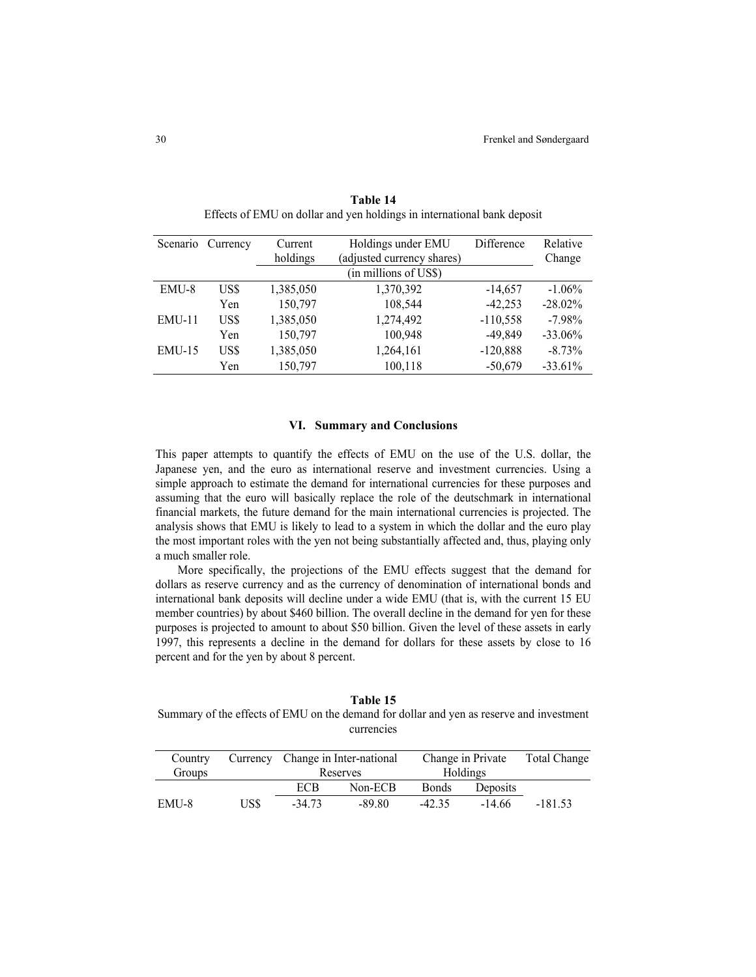| Scenario | Currency | Current   | Holdings under EMU         | Difference | Relative  |
|----------|----------|-----------|----------------------------|------------|-----------|
|          |          | holdings  | (adjusted currency shares) |            | Change    |
|          |          |           | (in millions of US\$)      |            |           |
| EMU-8    | US\$     | 1,385,050 | 1,370,392                  | $-14,657$  | $-1.06\%$ |
|          | Yen      | 150,797   | 108,544                    | $-42,253$  | $-28.02%$ |
| $EMU-11$ | US\$     | 1,385,050 | 1,274,492                  | $-110,558$ | $-7.98\%$ |
|          | Yen      | 150,797   | 100,948                    | -49,849    | $-33.06%$ |
| $EMU-15$ | US\$     | 1,385,050 | 1,264,161                  | $-120,888$ | $-8.73\%$ |
|          | Yen      | 150,797   | 100,118                    | $-50,679$  | $-33.61%$ |

**Table 14**  Effects of EMU on dollar and yen holdings in international bank deposit

## **VI. Summary and Conclusions**

This paper attempts to quantify the effects of EMU on the use of the U.S. dollar, the Japanese yen, and the euro as international reserve and investment currencies. Using a simple approach to estimate the demand for international currencies for these purposes and assuming that the euro will basically replace the role of the deutschmark in international financial markets, the future demand for the main international currencies is projected. The analysis shows that EMU is likely to lead to a system in which the dollar and the euro play the most important roles with the yen not being substantially affected and, thus, playing only a much smaller role.

More specifically, the projections of the EMU effects suggest that the demand for dollars as reserve currency and as the currency of denomination of international bonds and international bank deposits will decline under a wide EMU (that is, with the current 15 EU member countries) by about \$460 billion. The overall decline in the demand for yen for these purposes is projected to amount to about \$50 billion. Given the level of these assets in early 1997, this represents a decline in the demand for dollars for these assets by close to 16 percent and for the yen by about 8 percent.

**Table 15**  Summary of the effects of EMU on the demand for dollar and yen as reserve and investment currencies

| Country |      | Currency Change in Inter-national |         | Change in Private |          | <b>Total Change</b> |
|---------|------|-----------------------------------|---------|-------------------|----------|---------------------|
| Groups  |      | Reserves                          |         | Holdings          |          |                     |
|         |      | ECB                               | Non-ECB | <b>Bonds</b>      | Deposits |                     |
| EMU-8   | US\$ | $-34.73$                          | -89.80  | $-42.35$          | $-14.66$ | $-181.53$           |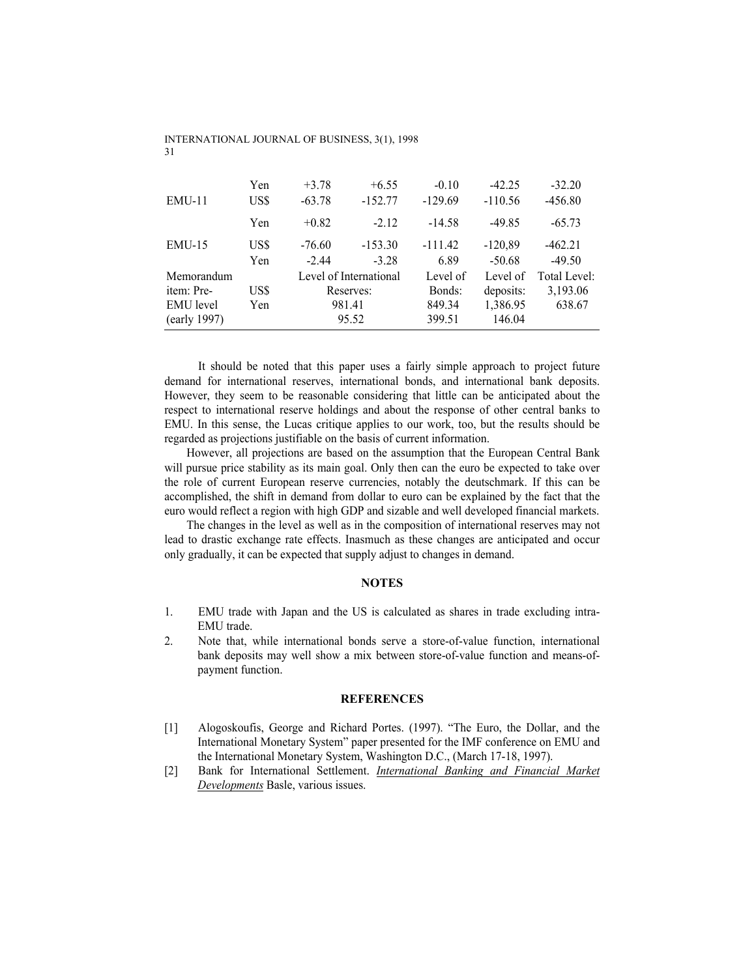| $EMU-11$         | Yen<br>US\$ | $+3.78$<br>$-63.78$ | $+6.55$<br>$-152.77$   | $-0.10$<br>$-129.69$ | $-42.25$<br>$-110.56$ | $-32.20$<br>$-456.80$ |
|------------------|-------------|---------------------|------------------------|----------------------|-----------------------|-----------------------|
|                  | Yen         | $+0.82$             | $-2.12$                | $-14.58$             | $-49.85$              | $-65.73$              |
| $EMU-15$         | US\$<br>Yen | $-76.60$<br>$-2.44$ | $-153.30$<br>$-3.28$   | $-111.42$<br>6.89    | $-120,89$<br>$-50.68$ | $-462.21$<br>$-49.50$ |
| Memorandum       |             |                     | Level of International | Level of             | Level of              | Total Level:          |
| item: Pre-       | US\$        |                     | Reserves:              | Bonds:               | deposits:             | 3,193.06              |
| <b>EMU</b> level | Yen         | 981.41              |                        | 849.34               | 1,386.95              | 638.67                |
| (early 1997)     |             |                     | 95.52                  | 399.51               | 146.04                |                       |

 It should be noted that this paper uses a fairly simple approach to project future demand for international reserves, international bonds, and international bank deposits. However, they seem to be reasonable considering that little can be anticipated about the respect to international reserve holdings and about the response of other central banks to EMU. In this sense, the Lucas critique applies to our work, too, but the results should be regarded as projections justifiable on the basis of current information.

However, all projections are based on the assumption that the European Central Bank will pursue price stability as its main goal. Only then can the euro be expected to take over the role of current European reserve currencies, notably the deutschmark. If this can be accomplished, the shift in demand from dollar to euro can be explained by the fact that the euro would reflect a region with high GDP and sizable and well developed financial markets.

The changes in the level as well as in the composition of international reserves may not lead to drastic exchange rate effects. Inasmuch as these changes are anticipated and occur only gradually, it can be expected that supply adjust to changes in demand.

#### **NOTES**

- 1. EMU trade with Japan and the US is calculated as shares in trade excluding intra-EMU trade.
- 2. Note that, while international bonds serve a store-of-value function, international bank deposits may well show a mix between store-of-value function and means-ofpayment function.

## **REFERENCES**

- [1] Alogoskoufis, George and Richard Portes. (1997). "The Euro, the Dollar, and the International Monetary System" paper presented for the IMF conference on EMU and the International Monetary System, Washington D.C., (March 17-18, 1997).
- [2] Bank for International Settlement. *International Banking and Financial Market Developments* Basle, various issues.